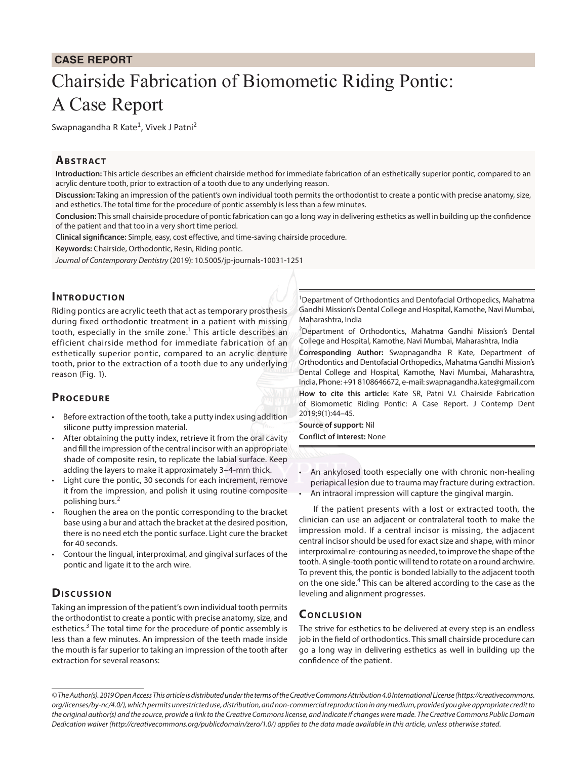#### **CASE REPORT**

# Chairside Fabrication of Biomometic Riding Pontic: A Case Report

Swapnagandha R Kate<sup>1</sup>, Vivek J Patni<sup>2</sup>

#### **ABSTRACT**

**Introduction:** This article describes an efficient chairside method for immediate fabrication of an esthetically superior pontic, compared to an acrylic denture tooth, prior to extraction of a tooth due to any underlying reason.

**Discussion:** Taking an impression of the patient's own individual tooth permits the orthodontist to create a pontic with precise anatomy, size, and esthetics. The total time for the procedure of pontic assembly is less than a few minutes.

**Conclusion:** This small chairside procedure of pontic fabrication can go a long way in delivering esthetics as well in building up the confidence of the patient and that too in a very short time period.

**Clinical significance:** Simple, easy, cost effective, and time-saving chairside procedure.

**Keywords:** Chairside, Orthodontic, Resin, Riding pontic.

*Journal of Contemporary Dentistry* (2019): 10.5005/jp-journals-10031-1251

#### **Introduc tion**

Riding pontics are acrylic teeth that act as temporary prosthesis during fixed orthodontic treatment in a patient with missing tooth, especially in the smile zone.<sup>1</sup> This article describes an efficient chairside method for immediate fabrication of an esthetically superior pontic, compared to an acrylic denture tooth, prior to the extraction of a tooth due to any underlying reason (Fig. 1).

## **PROCEDURE**

- Before extraction of the tooth, take a putty index using addition silicone putty impression material.
- After obtaining the putty index, retrieve it from the oral cavity and fill the impression of the central incisor with an appropriate shade of composite resin, to replicate the labial surface. Keep adding the layers to make it approximately 3–4-mm thick.
- Light cure the pontic, 30 seconds for each increment, remove it from the impression, and polish it using routine composite polishing burs.<sup>2</sup>
- Roughen the area on the pontic corresponding to the bracket base using a bur and attach the bracket at the desired position, there is no need etch the pontic surface. Light cure the bracket for 40 seconds.
- Contour the lingual, interproximal, and gingival surfaces of the pontic and ligate it to the arch wire.

## **Discussion**

Taking an impression of the patient's own individual tooth permits the orthodontist to create a pontic with precise anatomy, size, and esthetics.<sup>3</sup> The total time for the procedure of pontic assembly is less than a few minutes. An impression of the teeth made inside the mouth is far superior to taking an impression of the tooth after extraction for several reasons:

<sup>1</sup>Department of Orthodontics and Dentofacial Orthopedics, Mahatma Gandhi Mission's Dental College and Hospital, Kamothe, Navi Mumbai, Maharashtra, India

<sup>2</sup>Department of Orthodontics, Mahatma Gandhi Mission's Dental College and Hospital, Kamothe, Navi Mumbai, Maharashtra, India

**Corresponding Author:** Swapnagandha R Kate, Department of Orthodontics and Dentofacial Orthopedics, Mahatma Gandhi Mission's Dental College and Hospital, Kamothe, Navi Mumbai, Maharashtra, India, Phone: +91 8108646672, e-mail: swapnagandha.kate@gmail.com **How to cite this article:** Kate SR, Patni VJ*.* Chairside Fabrication of Biomometic Riding Pontic: A Case Report. J Contemp Dent 2019;9(1):44–45.

**Source of support:** Nil **Conflict of interest:** None

- An ankylosed tooth especially one with chronic non-healing periapical lesion due to trauma may fracture during extraction.
- An intraoral impression will capture the gingival margin.

If the patient presents with a lost or extracted tooth, the clinician can use an adjacent or contralateral tooth to make the impression mold. If a central incisor is missing, the adjacent central incisor should be used for exact size and shape, with minor interproximal re-contouring as needed, to improve the shape of the tooth. A single-tooth pontic will tend to rotate on a round archwire. To prevent this, the pontic is bonded labially to the adjacent tooth on the one side.<sup>4</sup> This can be altered according to the case as the leveling and alignment progresses.

## **Conc lusion**

The strive for esthetics to be delivered at every step is an endless job in the field of orthodontics. This small chairside procedure can go a long way in delivering esthetics as well in building up the confidence of the patient.

*<sup>©</sup> The Author(s). 2019 Open Access This article is distributed under the terms of the Creative Commons Attribution 4.0 International License (https://creativecommons. org/licenses/by-nc/4.0/), which permits unrestricted use, distribution, and non-commercial reproduction in any medium, provided you give appropriate credit to the original author(s) and the source, provide a link to the Creative Commons license, and indicate if changes were made. The Creative Commons Public Domain Dedication waiver (http://creativecommons.org/publicdomain/zero/1.0/) applies to the data made available in this article, unless otherwise stated.*